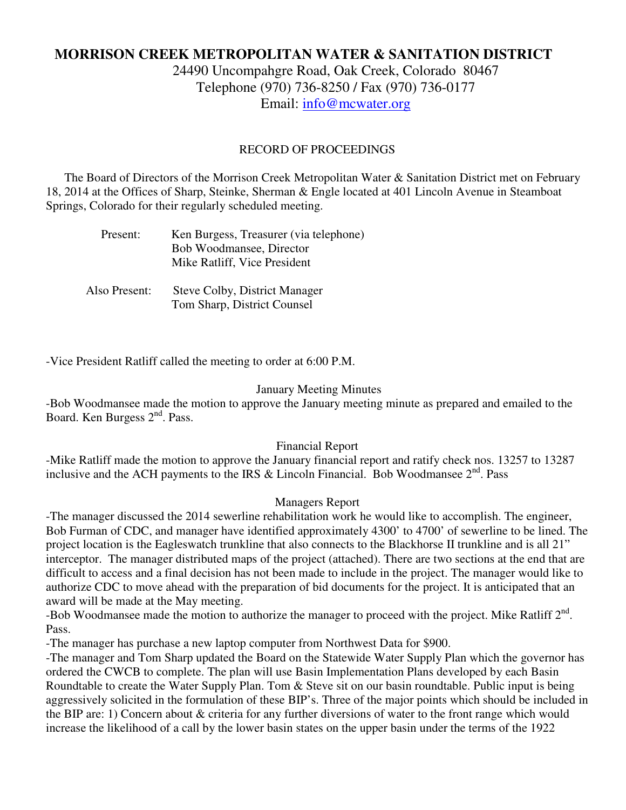# **MORRISON CREEK METROPOLITAN WATER & SANITATION DISTRICT**

24490 Uncompahgre Road, Oak Creek, Colorado 80467 Telephone (970) 736-8250 / Fax (970) 736-0177 Email: info@mcwater.org

#### RECORD OF PROCEEDINGS

 The Board of Directors of the Morrison Creek Metropolitan Water & Sanitation District met on February 18, 2014 at the Offices of Sharp, Steinke, Sherman & Engle located at 401 Lincoln Avenue in Steamboat Springs, Colorado for their regularly scheduled meeting.

| Present:      | Ken Burgess, Treasurer (via telephone)<br>Bob Woodmansee, Director<br>Mike Ratliff, Vice President |
|---------------|----------------------------------------------------------------------------------------------------|
| Also Present: | Steve Colby, District Manager                                                                      |

Tom Sharp, District Counsel

-Vice President Ratliff called the meeting to order at 6:00 P.M.

#### January Meeting Minutes

-Bob Woodmansee made the motion to approve the January meeting minute as prepared and emailed to the Board. Ken Burgess 2nd. Pass.

#### Financial Report

-Mike Ratliff made the motion to approve the January financial report and ratify check nos. 13257 to 13287 inclusive and the ACH payments to the IRS & Lincoln Financial. Bob Woodmansee  $2<sup>nd</sup>$ . Pass

#### Managers Report

-The manager discussed the 2014 sewerline rehabilitation work he would like to accomplish. The engineer, Bob Furman of CDC, and manager have identified approximately 4300' to 4700' of sewerline to be lined. The project location is the Eagleswatch trunkline that also connects to the Blackhorse II trunkline and is all 21" interceptor. The manager distributed maps of the project (attached). There are two sections at the end that are difficult to access and a final decision has not been made to include in the project. The manager would like to authorize CDC to move ahead with the preparation of bid documents for the project. It is anticipated that an award will be made at the May meeting.

-Bob Woodmansee made the motion to authorize the manager to proceed with the project. Mike Ratliff 2<sup>nd</sup>. Pass.

-The manager has purchase a new laptop computer from Northwest Data for \$900.

-The manager and Tom Sharp updated the Board on the Statewide Water Supply Plan which the governor has ordered the CWCB to complete. The plan will use Basin Implementation Plans developed by each Basin Roundtable to create the Water Supply Plan. Tom & Steve sit on our basin roundtable. Public input is being aggressively solicited in the formulation of these BIP's. Three of the major points which should be included in the BIP are: 1) Concern about & criteria for any further diversions of water to the front range which would increase the likelihood of a call by the lower basin states on the upper basin under the terms of the 1922